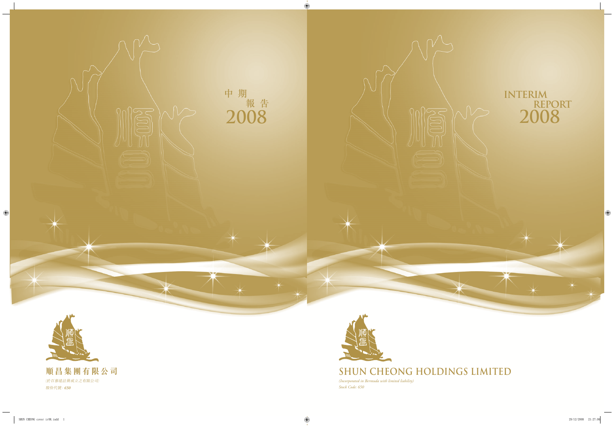



# **SHUN CHEONG HOLDINGS LIMITED**

*(Incorporated in Bermuda with limited liability) Stock Code: 650*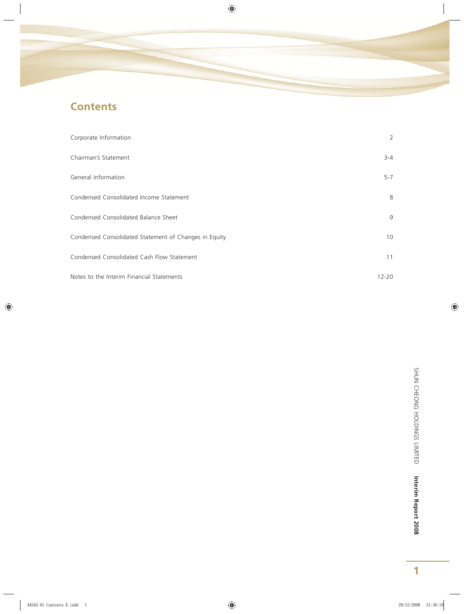# **Contents**

| Corporate Information                                 | 2         |
|-------------------------------------------------------|-----------|
| Chairman's Statement                                  | $3 - 4$   |
| General Information                                   | $5 - 7$   |
| Condensed Consolidated Income Statement               | 8         |
| Condensed Consolidated Balance Sheet                  | 9         |
| Condensed Consolidated Statement of Changes in Equity | 10        |
| Condensed Consolidated Cash Flow Statement            | 11        |
| Notes to the Interim Financial Statements             | $12 - 20$ |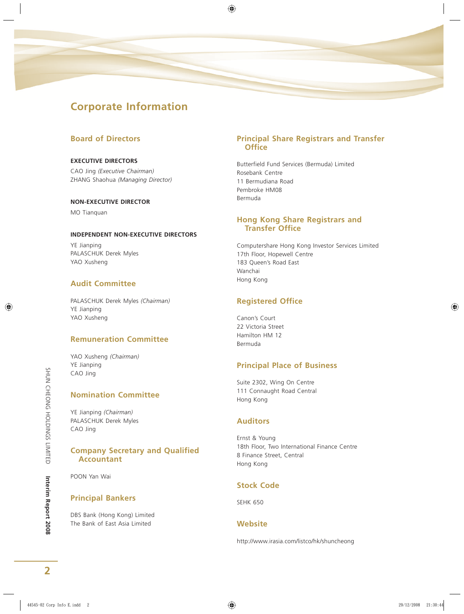# **Corporate Information**

## **Board of Directors**

#### **EXECUTIVE DIRECTORS**

CAO Jing *(Executive Chairman)* ZHANG Shaohua *(Managing Director)*

#### **NON-EXECUTIVE DIRECTOR**

MO Tianguan

#### **INDEPENDENT NON-EXECUTIVE DIRECTORS**

YE Jianping PALASCHUK Derek Myles YAO Xusheng

## **Audit Committee**

PALASCHUK Derek Myles *(Chairman)* YE Jianping YAO Xusheng

### **Remuneration Committee**

YAO Xusheng *(Chairman)* YE Jianping CAO Jing

## **Nomination Committee**

YE Jianping *(Chairman)* PALASCHUK Derek Myles CAO Jing

#### **Company Secretary and Qualified Accountant**

POON Yan Wai

## **Principal Bankers**

DBS Bank (Hong Kong) Limited The Bank of East Asia Limited

### **Principal Share Registrars and Transfer Office**

Butterfield Fund Services (Bermuda) Limited Rosebank Centre 11 Bermudiana Road Pembroke HM08 Bermuda

#### **Hong Kong Share Registrars and Transfer Office**

Computershare Hong Kong Investor Services Limited 17th Floor, Hopewell Centre 183 Queen's Road East Wanchai Hong Kong

## **Registered Office**

Canon's Court 22 Victoria Street Hamilton HM 12 Bermuda

## **Principal Place of Business**

Suite 2302, Wing On Centre 111 Connaught Road Central Hong Kong

### **Auditors**

Ernst & Young 18th Floor, Two International Finance Centre 8 Finance Street, Central Hong Kong

## **Stock Code**

SEHK 650

### **Website**

http://www.irasia.com/listco/hk/shuncheong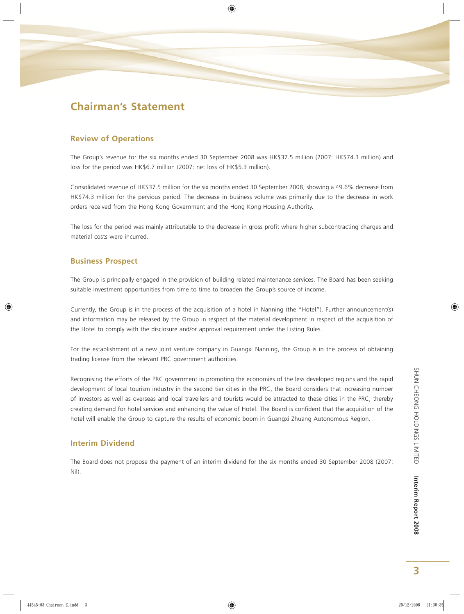# **Chairman's Statement**

### **Review of Operations**

The Group's revenue for the six months ended 30 September 2008 was HK\$37.5 million (2007: HK\$74.3 million) and loss for the period was HK\$6.7 million (2007: net loss of HK\$5.3 million).

Consolidated revenue of HK\$37.5 million for the six months ended 30 September 2008, showing a 49.6% decrease from HK\$74.3 million for the pervious period. The decrease in business volume was primarily due to the decrease in work orders received from the Hong Kong Government and the Hong Kong Housing Authority.

The loss for the period was mainly attributable to the decrease in gross profit where higher subcontracting charges and material costs were incurred.

#### **Business Prospect**

The Group is principally engaged in the provision of building related maintenance services. The Board has been seeking suitable investment opportunities from time to time to broaden the Group's source of income.

Currently, the Group is in the process of the acquisition of a hotel in Nanning (the "Hotel"). Further announcement(s) and information may be released by the Group in respect of the material development in respect of the acquisition of the Hotel to comply with the disclosure and/or approval requirement under the Listing Rules.

For the establishment of a new joint venture company in Guangxi Nanning, the Group is in the process of obtaining trading license from the relevant PRC government authorities.

Recognising the efforts of the PRC government in promoting the economies of the less developed regions and the rapid development of local tourism industry in the second tier cities in the PRC, the Board considers that increasing number of investors as well as overseas and local travellers and tourists would be attracted to these cities in the PRC, thereby creating demand for hotel services and enhancing the value of Hotel. The Board is confident that the acquisition of the hotel will enable the Group to capture the results of economic boom in Guangxi Zhuang Autonomous Region.

### **Interim Dividend**

The Board does not propose the payment of an interim dividend for the six months ended 30 September 2008 (2007: Nil).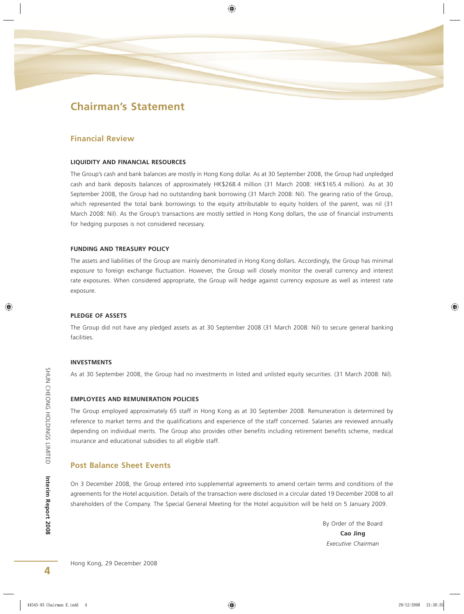## **Chairman's Statement**

#### **Financial Review**

#### **LIQUIDITY AND FINANCIAL RESOURCES**

The Group's cash and bank balances are mostly in Hong Kong dollar. As at 30 September 2008, the Group had unpledged cash and bank deposits balances of approximately HK\$268.4 million (31 March 2008: HK\$165.4 million). As at 30 September 2008, the Group had no outstanding bank borrowing (31 March 2008: Nil). The gearing ratio of the Group, which represented the total bank borrowings to the equity attributable to equity holders of the parent, was nil (31 March 2008: Nil). As the Group's transactions are mostly settled in Hong Kong dollars, the use of financial instruments for hedging purposes is not considered necessary.

#### **FUNDING AND TREASURY POLICY**

The assets and liabilities of the Group are mainly denominated in Hong Kong dollars. Accordingly, the Group has minimal exposure to foreign exchange fluctuation. However, the Group will closely monitor the overall currency and interest rate exposures. When considered appropriate, the Group will hedge against currency exposure as well as interest rate exposure.

#### **PLEDGE OF ASSETS**

The Group did not have any pledged assets as at 30 September 2008 (31 March 2008: Nil) to secure general banking facilities.

#### **INVESTMENTS**

As at 30 September 2008, the Group had no investments in listed and unlisted equity securities. (31 March 2008: Nil).

#### **EMPLOYEES AND REMUNERATION POLICIES**

The Group employed approximately 65 staff in Hong Kong as at 30 September 2008. Remuneration is determined by reference to market terms and the qualifications and experience of the staff concerned. Salaries are reviewed annually depending on individual merits. The Group also provides other benefits including retirement benefits scheme, medical insurance and educational subsidies to all eligible staff.

#### **Post Balance Sheet Events**

On 3 December 2008, the Group entered into supplemental agreements to amend certain terms and conditions of the agreements for the Hotel acquisition. Details of the transaction were disclosed in a circular dated 19 December 2008 to all shareholders of the Company. The Special General Meeting for the Hotel acquisition will be held on 5 January 2009.

> By Order of the Board **Cao Jing** *Executive Chairman*

SHUN CHEONG HOLDINGS LIMITED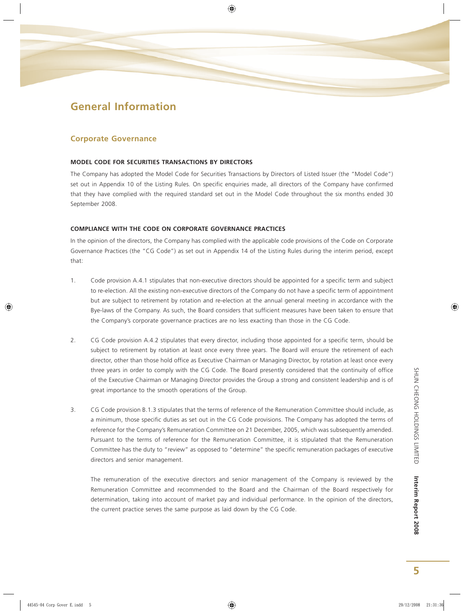# **General Information**

#### **Corporate Governance**

#### **MODEL CODE FOR SECURITIES TRANSACTIONS BY DIRECTORS**

The Company has adopted the Model Code for Securities Transactions by Directors of Listed Issuer (the "Model Code") set out in Appendix 10 of the Listing Rules. On specific enquiries made, all directors of the Company have confirmed that they have complied with the required standard set out in the Model Code throughout the six months ended 30 September 2008.

#### **COMPLIANCE WITH THE CODE ON CORPORATE GOVERNANCE PRACTICES**

In the opinion of the directors, the Company has complied with the applicable code provisions of the Code on Corporate Governance Practices (the "CG Code") as set out in Appendix 14 of the Listing Rules during the interim period, except that:

- 1. Code provision A.4.1 stipulates that non-executive directors should be appointed for a specific term and subject to re-election. All the existing non-executive directors of the Company do not have a specific term of appointment but are subject to retirement by rotation and re-election at the annual general meeting in accordance with the Bye-laws of the Company. As such, the Board considers that sufficient measures have been taken to ensure that the Company's corporate governance practices are no less exacting than those in the CG Code.
- 2. CG Code provision A.4.2 stipulates that every director, including those appointed for a specific term, should be subject to retirement by rotation at least once every three years. The Board will ensure the retirement of each director, other than those hold office as Executive Chairman or Managing Director, by rotation at least once every three years in order to comply with the CG Code. The Board presently considered that the continuity of office of the Executive Chairman or Managing Director provides the Group a strong and consistent leadership and is of great importance to the smooth operations of the Group.
- 3. CG Code provision B.1.3 stipulates that the terms of reference of the Remuneration Committee should include, as a minimum, those specific duties as set out in the CG Code provisions. The Company has adopted the terms of reference for the Company's Remuneration Committee on 21 December, 2005, which was subsequently amended. Pursuant to the terms of reference for the Remuneration Committee, it is stipulated that the Remuneration Committee has the duty to "review" as opposed to "determine" the specific remuneration packages of executive directors and senior management.

The remuneration of the executive directors and senior management of the Company is reviewed by the Remuneration Committee and recommended to the Board and the Chairman of the Board respectively for determination, taking into account of market pay and individual performance. In the opinion of the directors, the current practice serves the same purpose as laid down by the CG Code.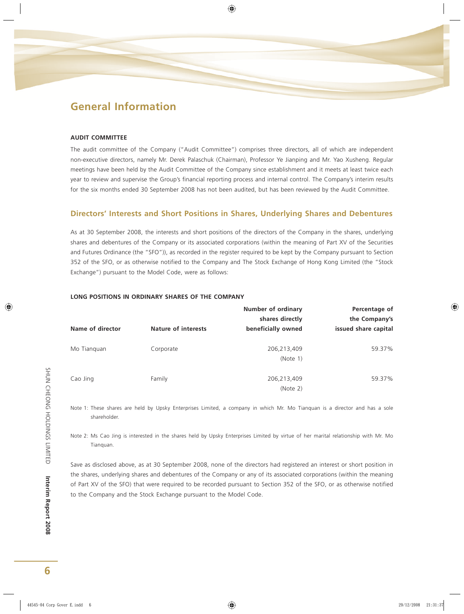# **General Information**

#### **AUDIT COMMITTEE**

The audit committee of the Company ("Audit Committee") comprises three directors, all of which are independent non-executive directors, namely Mr. Derek Palaschuk (Chairman), Professor Ye Jianping and Mr. Yao Xusheng. Regular meetings have been held by the Audit Committee of the Company since establishment and it meets at least twice each year to review and supervise the Group's financial reporting process and internal control. The Company's interim results for the six months ended 30 September 2008 has not been audited, but has been reviewed by the Audit Committee.

### **Directors' Interests and Short Positions in Shares, Underlying Shares and Debentures**

As at 30 September 2008, the interests and short positions of the directors of the Company in the shares, underlying shares and debentures of the Company or its associated corporations (within the meaning of Part XV of the Securities and Futures Ordinance (the "SFO")), as recorded in the register required to be kept by the Company pursuant to Section 352 of the SFO, or as otherwise notified to the Company and The Stock Exchange of Hong Kong Limited (the "Stock Exchange") pursuant to the Model Code, were as follows:

|                  |                            | Number of ordinary<br>shares directly | Percentage of<br>the Company's |
|------------------|----------------------------|---------------------------------------|--------------------------------|
| Name of director | <b>Nature of interests</b> | beneficially owned                    | issued share capital           |
| Mo Tianguan      | Corporate                  | 206,213,409<br>(Note 1)               | 59.37%                         |
| Cao Jing         | Family                     | 206,213,409<br>(Note 2)               | 59.37%                         |

#### **LONG POSITIONS IN ORDINARY SHARES OF THE COMPANY**

Note 1: These shares are held by Upsky Enterprises Limited, a company in which Mr. Mo Tianquan is a director and has a sole shareholder.

Note 2: Ms Cao Jing is interested in the shares held by Upsky Enterprises Limited by virtue of her marital relationship with Mr. Mo Tianquan.

Save as disclosed above, as at 30 September 2008, none of the directors had registered an interest or short position in the shares, underlying shares and debentures of the Company or any of its associated corporations (within the meaning of Part XV of the SFO) that were required to be recorded pursuant to Section 352 of the SFO, or as otherwise notified to the Company and the Stock Exchange pursuant to the Model Code.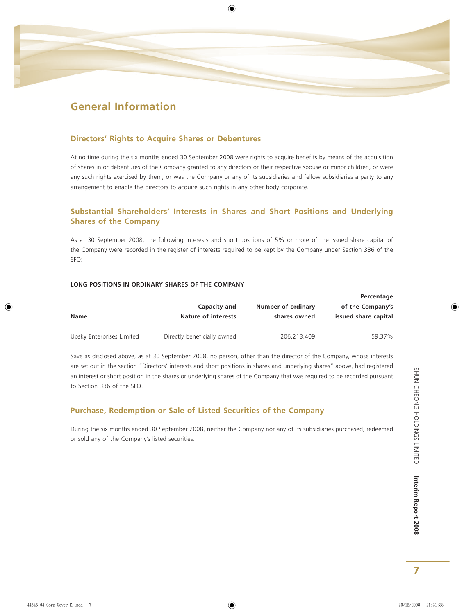# **General Information**

### **Directors' Rights to Acquire Shares or Debentures**

At no time during the six months ended 30 September 2008 were rights to acquire benefits by means of the acquisition of shares in or debentures of the Company granted to any directors or their respective spouse or minor children, or were any such rights exercised by them; or was the Company or any of its subsidiaries and fellow subsidiaries a party to any arrangement to enable the directors to acquire such rights in any other body corporate.

## **Substantial Shareholders' Interests in Shares and Short Positions and Underlying Shares of the Company**

As at 30 September 2008, the following interests and short positions of 5% or more of the issued share capital of the Company were recorded in the register of interests required to be kept by the Company under Section 336 of the SFO:

#### **LONG POSITIONS IN ORDINARY SHARES OF THE COMPANY**

|                           |                                     |                                    | Percentage                               |  |  |
|---------------------------|-------------------------------------|------------------------------------|------------------------------------------|--|--|
| <b>Name</b>               | Capacity and<br>Nature of interests | Number of ordinary<br>shares owned | of the Company's<br>issued share capital |  |  |
|                           |                                     |                                    |                                          |  |  |
| Upsky Enterprises Limited | Directly beneficially owned         | 206.213.409                        | 59.37%                                   |  |  |

Save as disclosed above, as at 30 September 2008, no person, other than the director of the Company, whose interests are set out in the section "Directors' interests and short positions in shares and underlying shares" above, had registered an interest or short position in the shares or underlying shares of the Company that was required to be recorded pursuant to Section 336 of the SFO.

## **Purchase, Redemption or Sale of Listed Securities of the Company**

During the six months ended 30 September 2008, neither the Company nor any of its subsidiaries purchased, redeemed or sold any of the Company's listed securities.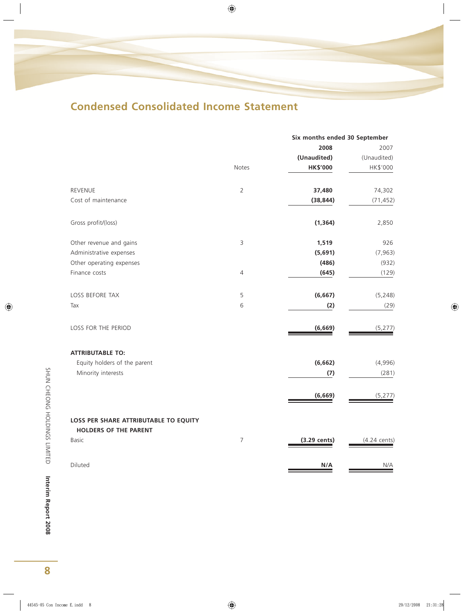# **Condensed Consolidated Income Statement**

|                                                                       |                | Six months ended 30 September |                        |  |
|-----------------------------------------------------------------------|----------------|-------------------------------|------------------------|--|
|                                                                       |                | 2008                          | 2007                   |  |
|                                                                       |                | (Unaudited)                   | (Unaudited)            |  |
|                                                                       | Notes          | <b>HK\$'000</b>               | HK\$'000               |  |
| <b>REVENUE</b>                                                        | $\overline{2}$ | 37,480                        | 74,302                 |  |
| Cost of maintenance                                                   |                | (38, 844)                     | (71, 452)              |  |
| Gross profit/(loss)                                                   |                | (1, 364)                      | 2,850                  |  |
| Other revenue and gains                                               | 3              | 1,519                         | 926                    |  |
| Administrative expenses                                               |                | (5,691)                       | (7, 963)               |  |
| Other operating expenses                                              |                | (486)                         | (932)                  |  |
| Finance costs                                                         | 4              | (645)                         | (129)                  |  |
| LOSS BEFORE TAX                                                       | 5              | (6, 667)                      | (5, 248)               |  |
| Tax                                                                   | 6              | (2)                           | (29)                   |  |
| LOSS FOR THE PERIOD                                                   |                | (6, 669)                      | (5, 277)               |  |
| <b>ATTRIBUTABLE TO:</b>                                               |                |                               |                        |  |
| Equity holders of the parent                                          |                | (6, 662)                      | (4,996)                |  |
| Minority interests                                                    |                | (7)                           | (281)                  |  |
|                                                                       |                | (6, 669)                      | (5, 277)               |  |
| LOSS PER SHARE ATTRIBUTABLE TO EQUITY<br><b>HOLDERS OF THE PARENT</b> |                |                               |                        |  |
| <b>Basic</b>                                                          | $\overline{7}$ | (3.29 cents)                  | $(4.24 \text{ cents})$ |  |
|                                                                       |                |                               |                        |  |
| Diluted                                                               |                | N/A                           | N/A                    |  |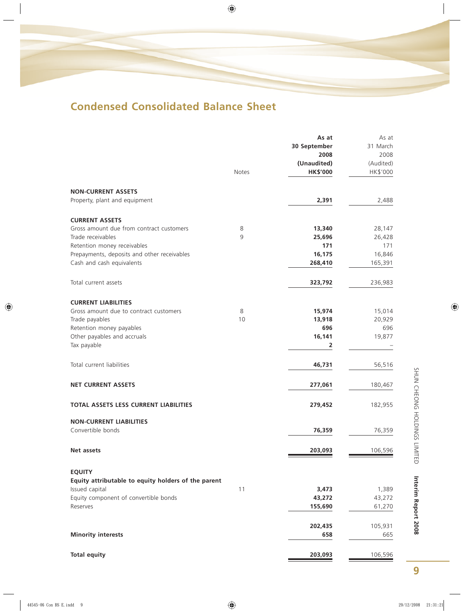# **Condensed Consolidated Balance Sheet**

|                                                                   |              | As at           | As at     |
|-------------------------------------------------------------------|--------------|-----------------|-----------|
|                                                                   |              | 30 September    | 31 March  |
|                                                                   |              | 2008            | 2008      |
|                                                                   |              | (Unaudited)     | (Audited) |
|                                                                   | <b>Notes</b> | <b>HK\$'000</b> | HK\$'000  |
| <b>NON-CURRENT ASSETS</b>                                         |              |                 |           |
| Property, plant and equipment                                     |              | 2,391           | 2,488     |
|                                                                   |              |                 |           |
| <b>CURRENT ASSETS</b><br>Gross amount due from contract customers | 8            | 13,340          | 28,147    |
| Trade receivables                                                 | 9            | 25,696          | 26,428    |
| Retention money receivables                                       |              | 171             | 171       |
| Prepayments, deposits and other receivables                       |              | 16,175          | 16,846    |
| Cash and cash equivalents                                         |              | 268,410         | 165,391   |
| Total current assets                                              |              | 323,792         |           |
|                                                                   |              |                 | 236,983   |
| <b>CURRENT LIABILITIES</b>                                        |              |                 |           |
| Gross amount due to contract customers                            | 8            | 15,974          | 15,014    |
| Trade payables                                                    | 10           | 13,918          | 20,929    |
| Retention money payables                                          |              | 696             | 696       |
| Other payables and accruals                                       |              | 16,141          | 19,877    |
| Tax payable                                                       |              | 2               |           |
| Total current liabilities                                         |              | 46,731          | 56,516    |
| <b>NET CURRENT ASSETS</b>                                         |              | 277,061         | 180,467   |
| TOTAL ASSETS LESS CURRENT LIABILITIES                             |              | 279,452         | 182,955   |
|                                                                   |              |                 |           |
| <b>NON-CURRENT LIABILITIES</b><br>Convertible bonds               |              |                 |           |
|                                                                   |              | 76,359          | 76,359    |
| Net assets                                                        |              | 203,093         | 106,596   |
| <b>EQUITY</b>                                                     |              |                 |           |
| Equity attributable to equity holders of the parent               |              |                 |           |
| Issued capital                                                    | 11           | 3,473           | 1,389     |
| Equity component of convertible bonds                             |              | 43,272          | 43,272    |
| Reserves                                                          |              | 155,690         | 61,270    |
|                                                                   |              |                 |           |
|                                                                   |              | 202,435         | 105,931   |
| <b>Minority interests</b>                                         |              | 658             | 665       |
| <b>Total equity</b>                                               |              | 203,093         | 106,596   |
|                                                                   |              |                 |           |

SHUN CHEONG HOLDINGS LIMITED Interim Report 2008 **Interim Report 2008** SHUN CHEONG HOLDINGS LIMITED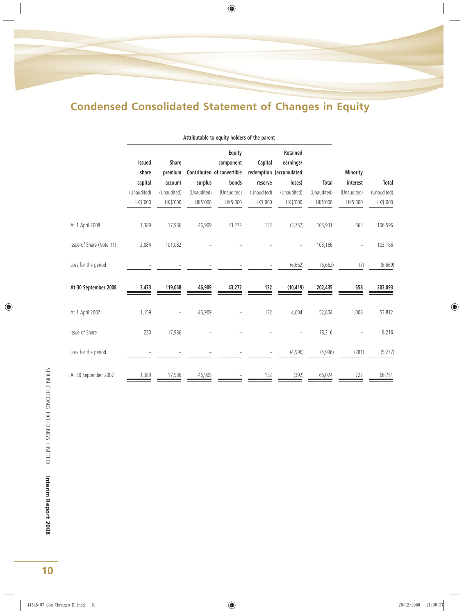# **Condensed Consolidated Statement of Changes in Equity**

|                          |                        |                         |             | Attributable to equity holders of the parent      |             |                                                  |             |                 |              |
|--------------------------|------------------------|-------------------------|-------------|---------------------------------------------------|-------------|--------------------------------------------------|-------------|-----------------|--------------|
|                          | <b>Issued</b><br>share | <b>Share</b><br>premium |             | Equity<br>component<br>Contributed of convertible | Capital     | Retained<br>earnings/<br>redemption (accumulated |             | <b>Minority</b> |              |
|                          | capital                | account                 | surplus     | bonds                                             | reserve     | loses)                                           | Total       | interest        | <b>Total</b> |
|                          | (Unaudited)            | (Unaudited)             | (Unaudited) | (Unaudited)                                       | (Unaudited) | (Unaudited)                                      | (Unaudited) | (Unaudited)     | (Unaudited)  |
|                          | HK\$'000               | HK\$'000                | HK\$'000    | HK\$'000                                          | HK\$'000    | HK\$'000                                         | HK\$'000    | HK\$'000        | HK\$'000     |
| At 1 April 2008          | 1,389                  | 17,986                  | 46,909      | 43,272                                            | 132         | (3,757)                                          | 105,931     | 665             | 106,596      |
| Issue of Share (Note 11) | 2,084                  | 101,082                 |             |                                                   |             |                                                  | 103,166     |                 | 103,166      |
| Loss for the period      |                        |                         |             |                                                   |             | (6,662)                                          | (6,662)     | (7)             | (6,669)      |
| At 30 September 2008     | 3,473                  | 119,068                 | 46,909      | 43,272                                            | 132         | (10, 419)                                        | 202,435     | 658             | 203,093      |
| At 1 April 2007          | 1,159                  |                         | 46,909      |                                                   | 132         | 4,604                                            | 52,804      | 1,008           | 53,812       |
| Issue of Share           | 230                    | 17,986                  |             |                                                   |             |                                                  | 18,216      |                 | 18,216       |
| Loss for the period      |                        |                         |             |                                                   |             | (4,996)                                          | (4,996)     | (281)           | (5, 277)     |
| At 30 September 2007     | 1,389                  | 17,986                  | 46,909      |                                                   | 132         | (392)                                            | 66,024      | 727             | 66,751       |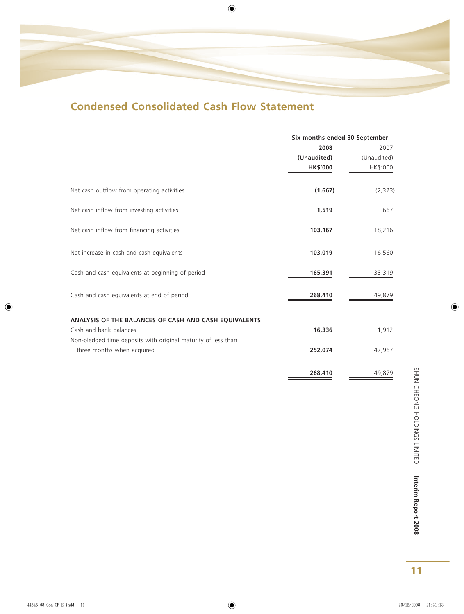# **Condensed Consolidated Cash Flow Statement**

|                                                               | Six months ended 30 September |             |  |
|---------------------------------------------------------------|-------------------------------|-------------|--|
|                                                               | 2008                          | 2007        |  |
|                                                               | (Unaudited)                   | (Unaudited) |  |
|                                                               | <b>HK\$'000</b>               | HK\$'000    |  |
| Net cash outflow from operating activities                    | (1,667)                       | (2, 323)    |  |
| Net cash inflow from investing activities                     | 1,519                         | 667         |  |
| Net cash inflow from financing activities                     | 103,167                       | 18,216      |  |
| Net increase in cash and cash equivalents                     | 103,019                       | 16,560      |  |
| Cash and cash equivalents at beginning of period              | 165,391                       | 33,319      |  |
| Cash and cash equivalents at end of period                    | 268,410                       | 49,879      |  |
| ANALYSIS OF THE BALANCES OF CASH AND CASH EQUIVALENTS         |                               |             |  |
| Cash and bank balances                                        | 16,336                        | 1,912       |  |
| Non-pledged time deposits with original maturity of less than |                               |             |  |
| three months when acquired                                    | 252,074                       | 47,967      |  |
|                                                               | 268,410                       | 49,879      |  |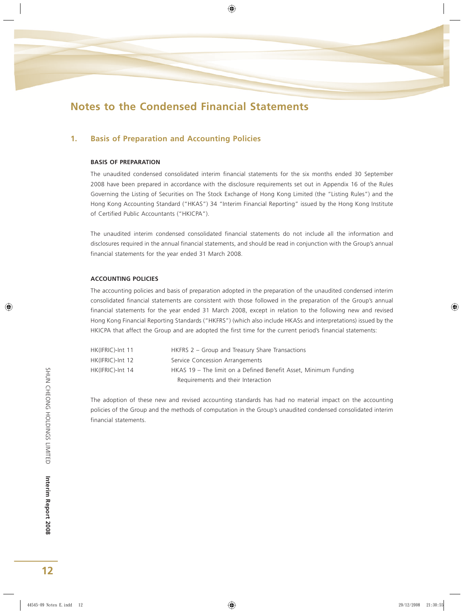### **1. Basis of Preparation and Accounting Policies**

#### **BASIS OF PREPARATION**

The unaudited condensed consolidated interim financial statements for the six months ended 30 September 2008 have been prepared in accordance with the disclosure requirements set out in Appendix 16 of the Rules Governing the Listing of Securities on The Stock Exchange of Hong Kong Limited (the "Listing Rules") and the Hong Kong Accounting Standard ("HKAS") 34 "Interim Financial Reporting" issued by the Hong Kong Institute of Certified Public Accountants ("HKICPA").

The unaudited interim condensed consolidated financial statements do not include all the information and disclosures required in the annual financial statements, and should be read in conjunction with the Group's annual financial statements for the year ended 31 March 2008.

#### **ACCOUNTING POLICIES**

The accounting policies and basis of preparation adopted in the preparation of the unaudited condensed interim consolidated financial statements are consistent with those followed in the preparation of the Group's annual financial statements for the year ended 31 March 2008, except in relation to the following new and revised Hong Kong Financial Reporting Standards ("HKFRS") (which also include HKASs and interpretations) issued by the HKICPA that affect the Group and are adopted the first time for the current period's financial statements:

| HK(IFRIC)-Int 11 | HKFRS 2 – Group and Treasury Share Transactions                 |
|------------------|-----------------------------------------------------------------|
| HK(IFRIC)-Int 12 | Service Concession Arrangements                                 |
| HK(IFRIC)-Int 14 | HKAS 19 - The limit on a Defined Benefit Asset, Minimum Funding |
|                  | Requirements and their Interaction                              |

The adoption of these new and revised accounting standards has had no material impact on the accounting policies of the Group and the methods of computation in the Group's unaudited condensed consolidated interim financial statements.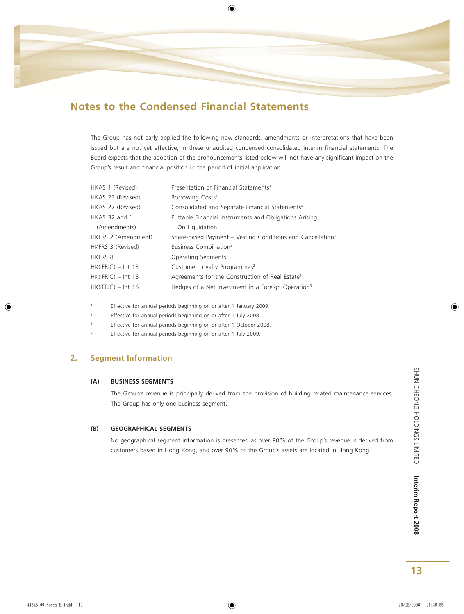The Group has not early applied the following new standards, amendments or interpretations that have been issued but are not yet effective, in these unaudited condensed consolidated interim financial statements. The Board expects that the adoption of the pronouncements listed below will not have any significant impact on the Group's result and financial position in the period of initial application.

| Presentation of Financial Statements <sup>1</sup>                      |
|------------------------------------------------------------------------|
| Borrowing Costs <sup>1</sup>                                           |
| Consolidated and Separate Financial Statements <sup>4</sup>            |
| Puttable Financial Instruments and Obligations Arising                 |
| On Liquidation <sup>1</sup>                                            |
| Share-based Payment – Vesting Conditions and Cancellation <sup>1</sup> |
| Business Combination <sup>4</sup>                                      |
| Operating Segments <sup>1</sup>                                        |
| Customer Loyalty Programmes <sup>2</sup>                               |
| Agreements for the Construction of Real Estate <sup>1</sup>            |
| Hedges of a Net Investment in a Foreign Operation <sup>3</sup>         |
|                                                                        |

1 Effective for annual periods beginning on or after 1 January 2009.

- 2 Effective for annual periods beginning on or after 1 July 2008.
- <sup>3</sup> Effective for annual periods beginning on or after 1 October 2008.
- 4 Effective for annual periods beginning on or after 1 July 2009.

### **2. Segment Information**

#### **(A) BUSINESS SEGMENTS**

The Group's revenue is principally derived from the provision of building related maintenance services. The Group has only one business segment.

#### **(B) GEOGRAPHICAL SEGMENTS**

No geographical segment information is presented as over 90% of the Group's revenue is derived from customers based in Hong Kong, and over 90% of the Group's assets are located in Hong Kong.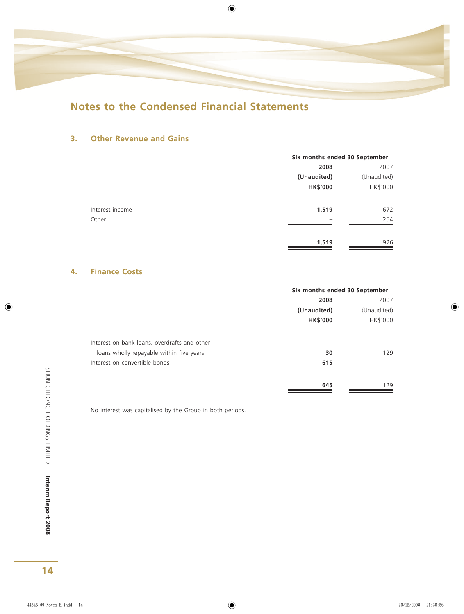## **3. Other Revenue and Gains**

|                 |                 | Six months ended 30 September |  |
|-----------------|-----------------|-------------------------------|--|
|                 | 2008            | 2007                          |  |
|                 | (Unaudited)     | (Unaudited)                   |  |
|                 | <b>HK\$'000</b> | HK\$'000                      |  |
| Interest income | 1,519           | 672                           |  |
| Other           |                 | 254                           |  |
|                 | 1,519           | 926                           |  |

## **4. Finance Costs**

|                                              | Six months ended 30 September |             |  |
|----------------------------------------------|-------------------------------|-------------|--|
|                                              | 2008                          | 2007        |  |
|                                              | (Unaudited)                   | (Unaudited) |  |
|                                              | <b>HK\$'000</b>               | HK\$'000    |  |
| Interest on bank loans, overdrafts and other |                               |             |  |
| loans wholly repayable within five years     | 30                            | 129         |  |
| Interest on convertible bonds                | 615                           |             |  |
|                                              | 645                           | 129         |  |

No interest was capitalised by the Group in both periods.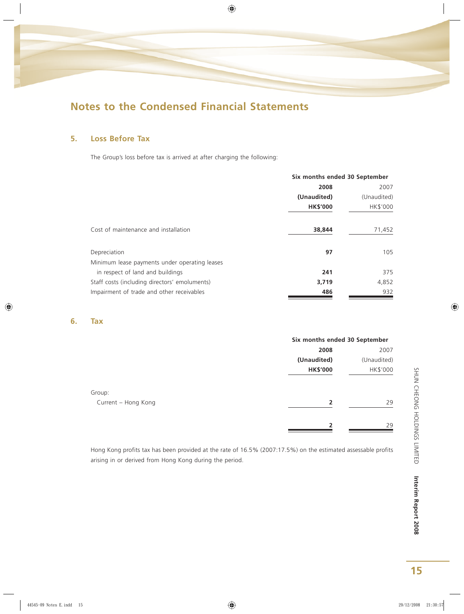

## **5. Loss Before Tax**

The Group's loss before tax is arrived at after charging the following:

|                                               | Six months ended 30 September |             |  |
|-----------------------------------------------|-------------------------------|-------------|--|
|                                               | 2008<br>2007                  |             |  |
|                                               | (Unaudited)                   | (Unaudited) |  |
|                                               | <b>HK\$'000</b>               | HK\$'000    |  |
| Cost of maintenance and installation          | 38,844                        | 71,452      |  |
| Depreciation                                  | 97                            | 105         |  |
| Minimum lease payments under operating leases |                               |             |  |
| in respect of land and buildings              | 241                           | 375         |  |
| Staff costs (including directors' emoluments) | 3,719                         | 4,852       |  |
| Impairment of trade and other receivables     | 486                           | 932         |  |

### **6. Tax**

|                     |                 | Six months ended 30 September |  |
|---------------------|-----------------|-------------------------------|--|
|                     | 2008            | 2007                          |  |
|                     | (Unaudited)     | (Unaudited)                   |  |
|                     | <b>HK\$'000</b> | HK\$'000                      |  |
| Group:              |                 |                               |  |
| Current - Hong Kong | $\overline{2}$  | 29                            |  |
|                     | 2               | 29                            |  |

Hong Kong profits tax has been provided at the rate of 16.5% (2007:17.5%) on the estimated assessable profits arising in or derived from Hong Kong during the period.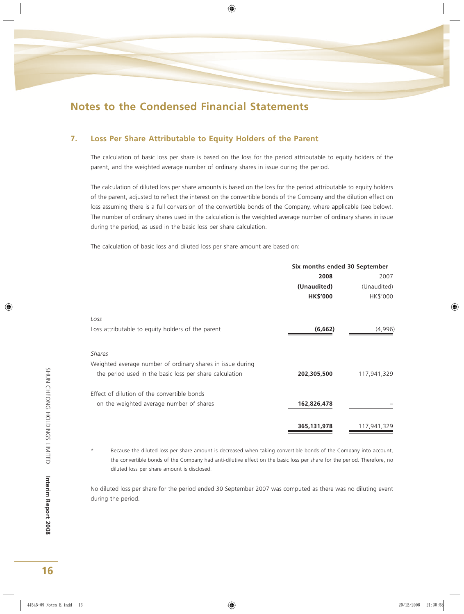### **7. Loss Per Share Attributable to Equity Holders of the Parent**

The calculation of basic loss per share is based on the loss for the period attributable to equity holders of the parent, and the weighted average number of ordinary shares in issue during the period.

The calculation of diluted loss per share amounts is based on the loss for the period attributable to equity holders of the parent, adjusted to reflect the interest on the convertible bonds of the Company and the dilution effect on loss assuming there is a full conversion of the convertible bonds of the Company, where applicable (see below). The number of ordinary shares used in the calculation is the weighted average number of ordinary shares in issue during the period, as used in the basic loss per share calculation.

The calculation of basic loss and diluted loss per share amount are based on:

| 2008            | 2007        |
|-----------------|-------------|
|                 |             |
| (Unaudited)     | (Unaudited) |
| <b>HK\$'000</b> | HK\$'000    |
|                 |             |
| (6,662)         | (4,996)     |
|                 |             |
|                 |             |
| 202,305,500     | 117,941,329 |
|                 |             |
| 162,826,478     |             |
|                 | 117,941,329 |
|                 | 365,131,978 |

Because the diluted loss per share amount is decreased when taking convertible bonds of the Company into account, the convertible bonds of the Company had anti-dilutive effect on the basic loss per share for the period. Therefore, no diluted loss per share amount is disclosed.

No diluted loss per share for the period ended 30 September 2007 was computed as there was no diluting event during the period.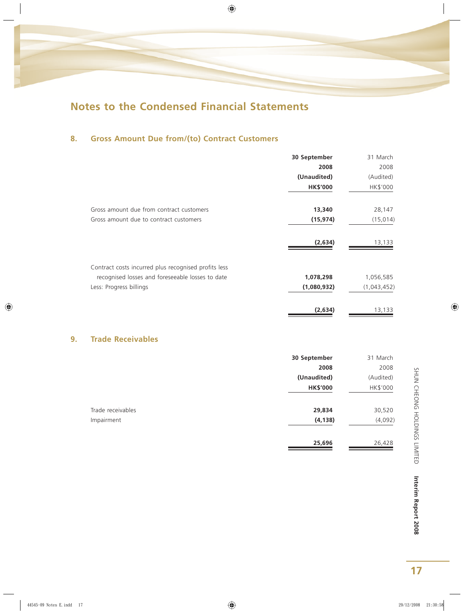## **8. Gross Amount Due from/(to) Contract Customers**

|    |                                                      | 30 September    | 31 March    |
|----|------------------------------------------------------|-----------------|-------------|
|    |                                                      | 2008            | 2008        |
|    |                                                      | (Unaudited)     | (Audited)   |
|    |                                                      | <b>HK\$'000</b> | HK\$'000    |
|    | Gross amount due from contract customers             | 13,340          | 28,147      |
|    | Gross amount due to contract customers               | (15, 974)       | (15, 014)   |
|    |                                                      | (2,634)         | 13,133      |
|    | Contract costs incurred plus recognised profits less |                 |             |
|    | recognised losses and foreseeable losses to date     | 1,078,298       | 1,056,585   |
|    | Less: Progress billings                              | (1,080,932)     | (1,043,452) |
|    |                                                      | (2,634)         | 13,133      |
| 9. | <b>Trade Receivables</b>                             |                 |             |
|    |                                                      | 30 September    | 31 March    |
|    |                                                      | 2008            | 2008        |
|    |                                                      | (Unaudited)     | (Audited)   |
|    |                                                      | <b>HK\$'000</b> | HK\$'000    |
|    |                                                      |                 |             |

| Trade receivables | 29,834   | 30,520  |
|-------------------|----------|---------|
| Impairment        | (4, 138) | (4,092) |
|                   |          |         |

**25,696** 26,428

25,696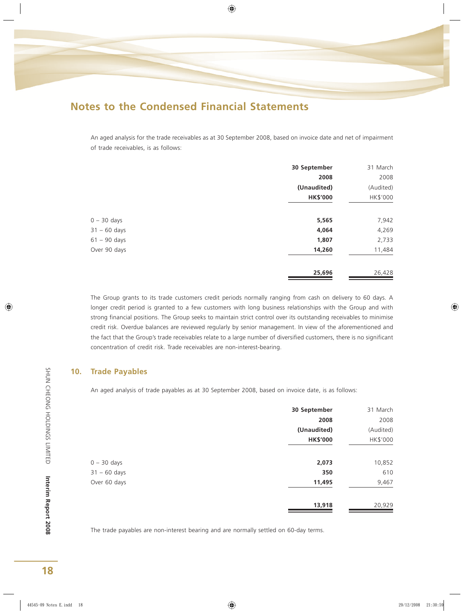An aged analysis for the trade receivables as at 30 September 2008, based on invoice date and net of impairment of trade receivables, is as follows:

|                | 30 September    | 31 March  |
|----------------|-----------------|-----------|
|                | 2008            | 2008      |
|                | (Unaudited)     | (Audited) |
|                | <b>HK\$'000</b> | HK\$'000  |
| $0 - 30$ days  | 5,565           | 7,942     |
| $31 - 60$ days | 4,064           | 4,269     |
| $61 - 90$ days | 1,807           | 2,733     |
| Over 90 days   | 14,260          | 11,484    |
|                | 25,696          | 26,428    |

The Group grants to its trade customers credit periods normally ranging from cash on delivery to 60 days. A longer credit period is granted to a few customers with long business relationships with the Group and with strong financial positions. The Group seeks to maintain strict control over its outstanding receivables to minimise credit risk. Overdue balances are reviewed regularly by senior management. In view of the aforementioned and the fact that the Group's trade receivables relate to a large number of diversified customers, there is no significant concentration of credit risk. Trade receivables are non-interest-bearing.

#### **10. Trade Payables**

An aged analysis of trade payables as at 30 September 2008, based on invoice date, is as follows:

|                | 30 September    | 31 March  |
|----------------|-----------------|-----------|
|                | 2008            | 2008      |
|                | (Unaudited)     | (Audited) |
|                | <b>HK\$'000</b> | HK\$'000  |
| $0 - 30$ days  | 2,073           | 10,852    |
| $31 - 60$ days | 350             | 610       |
| Over 60 days   | 11,495          | 9,467     |
|                | 13,918          | 20,929    |

The trade payables are non-interest bearing and are normally settled on 60-day terms.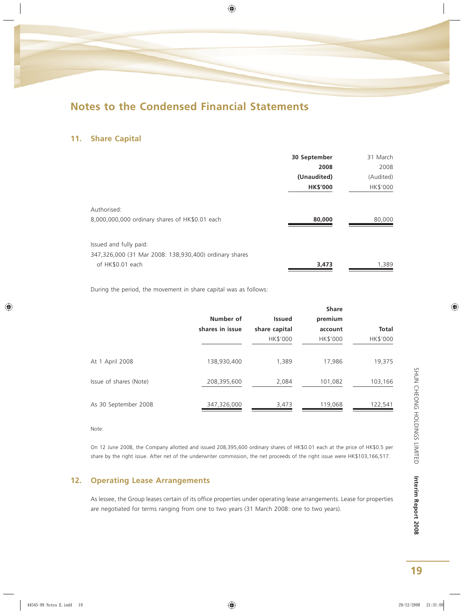### **11. Share Capital**

|                                                        | 30 September    | 31 March  |
|--------------------------------------------------------|-----------------|-----------|
|                                                        | 2008            | 2008      |
|                                                        | (Unaudited)     | (Audited) |
|                                                        | <b>HK\$'000</b> | HK\$'000  |
| Authorised:                                            |                 |           |
| 8,000,000,000 ordinary shares of HK\$0.01 each         | 80,000          | 80,000    |
| Issued and fully paid:                                 |                 |           |
| 347,326,000 (31 Mar 2008: 138,930,400) ordinary shares |                 |           |
| of HK\$0.01 each                                       | 3,473           | 1,389     |

During the period, the movement in share capital was as follows:

|                        |                 |               | <b>Share</b> |              |
|------------------------|-----------------|---------------|--------------|--------------|
|                        | Number of       | <b>Issued</b> | premium      |              |
|                        | shares in issue | share capital | account      | <b>Total</b> |
|                        |                 | HK\$'000      | HK\$'000     | HK\$'000     |
|                        |                 |               |              |              |
| At 1 April 2008        | 138,930,400     | 1.389         | 17,986       | 19,375       |
|                        |                 |               |              |              |
| Issue of shares (Note) | 208,395,600     | 2,084         | 101,082      | 103,166      |
|                        |                 |               |              |              |
| As 30 September 2008   | 347,326,000     | 3,473         | 119,068      | 122,541      |
|                        |                 |               |              |              |

Note:

On 12 June 2008, the Company allotted and issued 208,395,600 ordinary shares of HK\$0.01 each at the price of HK\$0.5 per share by the right issue. After net of the underwriter commission, the net proceeds of the right issue were HK\$103,166,517.

## **12. Operating Lease Arrangements**

As lessee, the Group leases certain of its office properties under operating lease arrangements. Lease for properties are negotiated for terms ranging from one to two years (31 March 2008: one to two years).